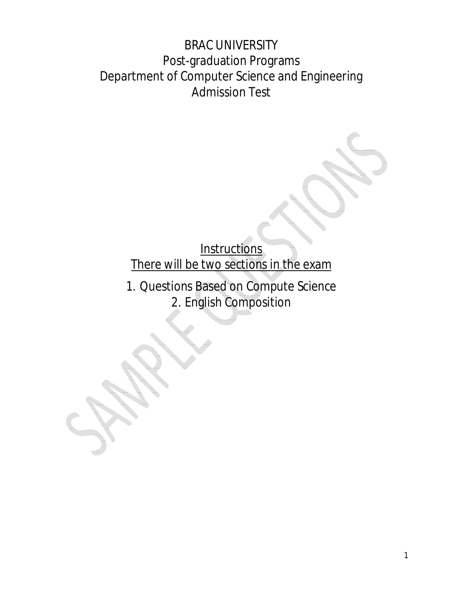BRAC UNIVERSITY Post-graduation Programs Department of Computer Science and Engineering Admission Test

> **Instructions** There will be two sections in the exam

1. Questions Based on Compute Science 2. English Composition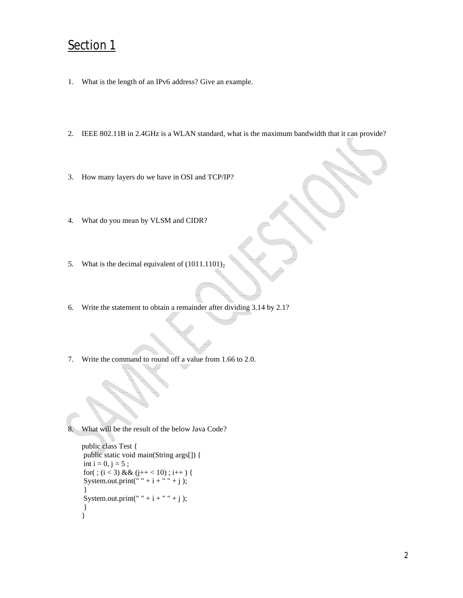## Section 1

- 1. What is the length of an IPv6 address? Give an example.
- 2. IEEE 802.11B in 2.4GHz is a WLAN standard, what is the maximum bandwidth that it can provide?
- 3. How many layers do we have in OSI and TCP/IP?
- 4. What do you mean by VLSM and CIDR?
- 5. What is the decimal equivalent of  $(1011.1101)_2$
- 6. Write the statement to obtain a remainder after dividing 3.14 by 2.1?
- 7. Write the command to round off a value from 1.66 to 2.0.

8. What will be the result of the below Java Code?

```
public class Test {
public static void main(String args[]) {
int i = 0, j = 5;for(; (i < 3) && (j++ < 10); i++ ) {
System.out.print(" " + i + " " + j);
 }
System.out.print(" " + i + " " + j );
}
}
```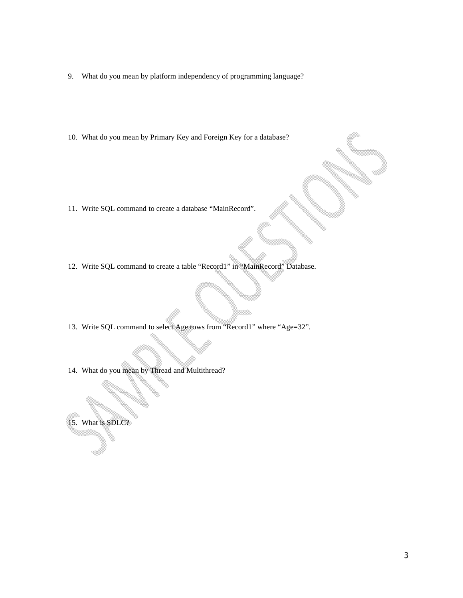- 9. What do you mean by platform independency of programming language?
- 10. What do you mean by Primary Key and Foreign Key for a database?

- 11. Write SQL command to create a database "MainRecord".
- 12. Write SQL command to create a table "Record1" in "MainRecord" Database.
- 13. Write SQL command to select Age rows from "Record1" where "Age=32".
- 14. What do you mean by Thread and Multithread?

15. What is SDLC?